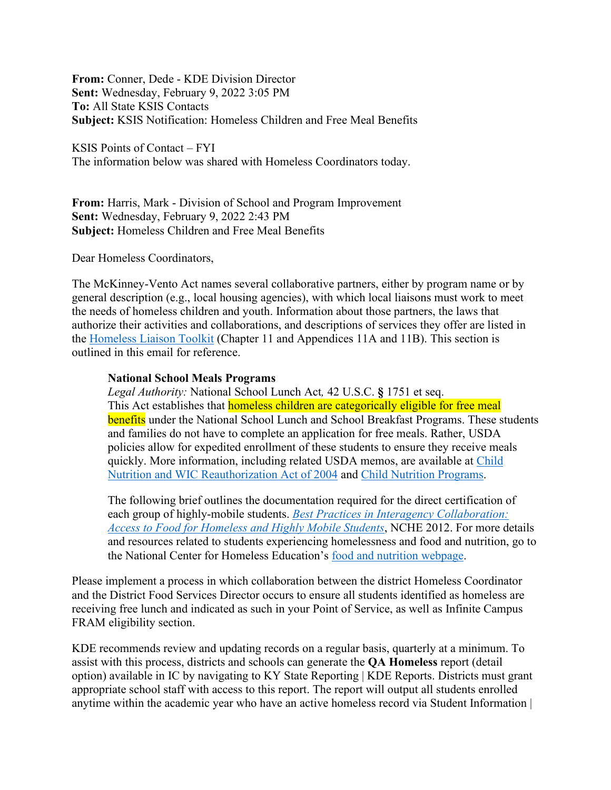**From:** Conner, Dede - KDE Division Director **Sent:** Wednesday, February 9, 2022 3:05 PM **To:** All State KSIS Contacts **Subject:** KSIS Notification: Homeless Children and Free Meal Benefits

KSIS Points of Contact – FYI The information below was shared with Homeless Coordinators today.

**From:** Harris, Mark - Division of School and Program Improvement **Sent:** Wednesday, February 9, 2022 2:43 PM **Subject:** Homeless Children and Free Meal Benefits

Dear Homeless Coordinators,

The McKinney-Vento Act names several collaborative partners, either by program name or by general description (e.g., local housing agencies), with which local liaisons must work to meet the needs of homeless children and youth. Information about those partners, the laws that authorize their activities and collaborations, and descriptions of services they offer are listed in the [Homeless Liaison Toolkit](https://nche.ed.gov/homeless-liaison-toolkit/) (Chapter 11 and Appendices 11A and 11B). This section is outlined in this email for reference.

## **National School Meals Programs**

*Legal Authority:* National School Lunch Act*,* 42 U.S.C. **§** 1751 et seq. This Act establishes that **homeless children are categorically eligible for free meal benefits** under the National School Lunch and School Breakfast Programs. These students and families do not have to complete an application for free meals. Rather, USDA policies allow for expedited enrollment of these students to ensure they receive meals quickly. More information, including related USDA memos, are available at [Child](https://nche.ed.gov/legislation/child-nutrition/)  [Nutrition and WIC Reauthorization Act of 2004](https://nche.ed.gov/legislation/child-nutrition/) and [Child Nutrition Programs.](https://www.fns.usda.gov/cn)

The following brief outlines the documentation required for the direct certification of each group of highly-mobile students. *[Best Practices in Interagency Collaboration:](https://nche.ed.gov/wp-content/uploads/2018/10/nutrition.pdf)  [Access to Food for Homeless and Highly Mobile Students](https://nche.ed.gov/wp-content/uploads/2018/10/nutrition.pdf)*, NCHE 2012. For more details and resources related to students experiencing homelessness and food and nutrition, go to the National Center for Homeless Education's [food and nutrition webpage.](https://nche.ed.gov/food-and-nutrition/)

Please implement a process in which collaboration between the district Homeless Coordinator and the District Food Services Director occurs to ensure all students identified as homeless are receiving free lunch and indicated as such in your Point of Service, as well as Infinite Campus FRAM eligibility section.

KDE recommends review and updating records on a regular basis, quarterly at a minimum. To assist with this process, districts and schools can generate the **QA Homeless** report (detail option) available in IC by navigating to KY State Reporting | KDE Reports. Districts must grant appropriate school staff with access to this report. The report will output all students enrolled anytime within the academic year who have an active homeless record via Student Information |